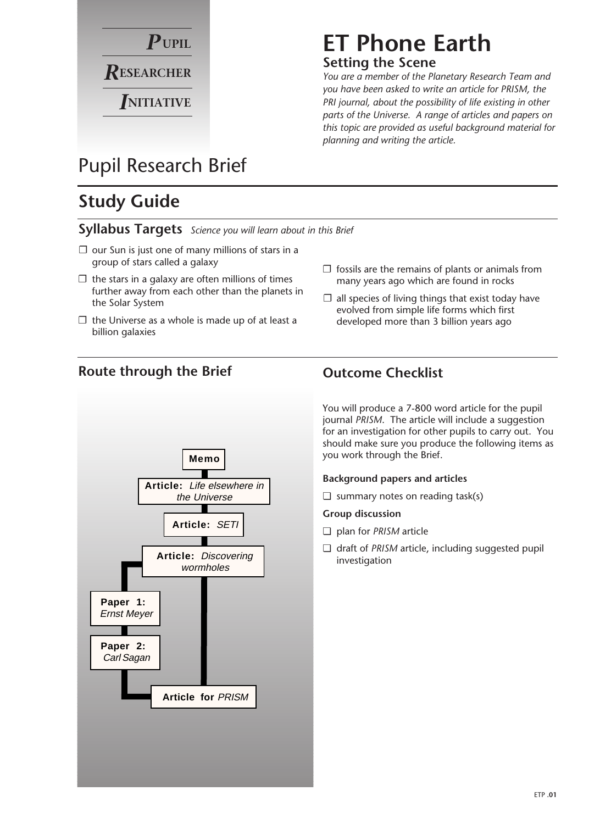

# **ET Phone Earth**

#### **Setting the Scene**

*You are a member of the Planetary Research Team and you have been asked to write an article for PRISM, the PRI journal, about the possibility of life existing in other parts of the Universe. A range of articles and papers on this topic are provided as useful background material for planning and writing the article.*

### Pupil Research Brief

### **Study Guide**

#### **Syllabus Targets** *Science you will learn about in this Brief*

- $\Box$  our Sun is just one of many millions of stars in a group of stars called a galaxy
- $\square$  the stars in a galaxy are often millions of times further away from each other than the planets in the Solar System
- $\Box$  the Universe as a whole is made up of at least a billion galaxies
- $\square$  fossils are the remains of plants or animals from many years ago which are found in rocks
- $\Box$  all species of living things that exist today have evolved from simple life forms which first developed more than 3 billion years ago

#### **Route through the Brief Outcome Checklist**



You will produce a 7-800 word article for the pupil journal *PRISM*. The article will include a suggestion for an investigation for other pupils to carry out. You should make sure you produce the following items as you work through the Brief.

#### **Background papers and articles**

 $\Box$  summary notes on reading task(s)

#### **Group discussion**

- ❏ plan for *PRISM* article
- ❏ draft of *PRISM* article, including suggested pupil investigation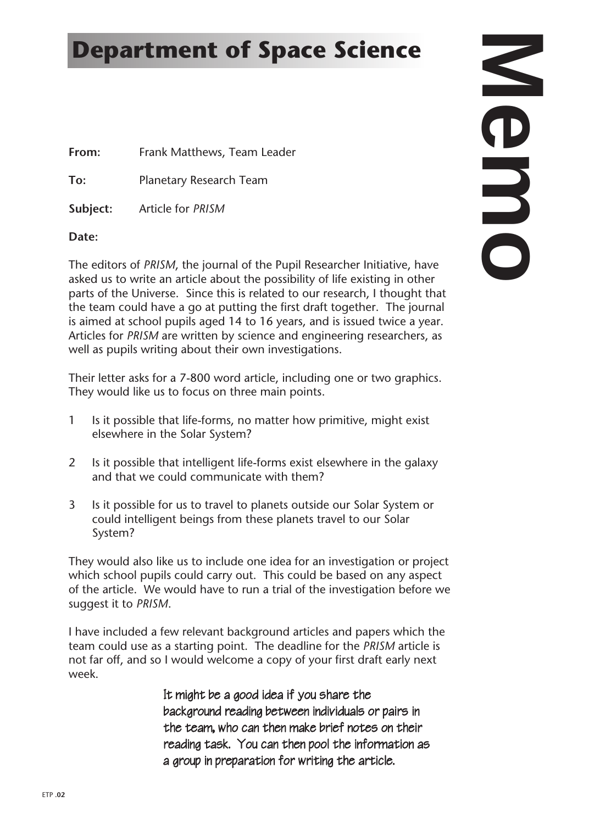# **Department of Space Science**

**From:** Frank Matthews, Team Leader

**To:** Planetary Research Team

**Subject:** Article for *PRISM* 

**Date:**

The editors of *PRISM*, the journal of the Pupil Researcher Initiative, have asked us to write an article about the possibility of life existing in other parts of the Universe. Since this is related to our research, I thought that the team could have a go at putting the first draft together. The journal is aimed at school pupils aged 14 to 16 years, and is issued twice a year. Articles for *PRISM* are written by science and engineering researchers, as well as pupils writing about their own investigations.

Their letter asks for a 7-800 word article, including one or two graphics. They would like us to focus on three main points.

- 1 Is it possible that life-forms, no matter how primitive, might exist elsewhere in the Solar System?
- 2 Is it possible that intelligent life-forms exist elsewhere in the galaxy and that we could communicate with them?
- 3 Is it possible for us to travel to planets outside our Solar System or could intelligent beings from these planets travel to our Solar System?

They would also like us to include one idea for an investigation or project which school pupils could carry out. This could be based on any aspect of the article. We would have to run a trial of the investigation before we suggest it to *PRISM*.

I have included a few relevant background articles and papers which the team could use as a starting point. The deadline for the *PRISM* article is not far off, and so I would welcome a copy of your first draft early next week.

> It might be a good idea if you share the background reading between individuals or pairs in the team, who can then make brief notes on their reading task. You can then pool the information as a group in preparation for writing the article.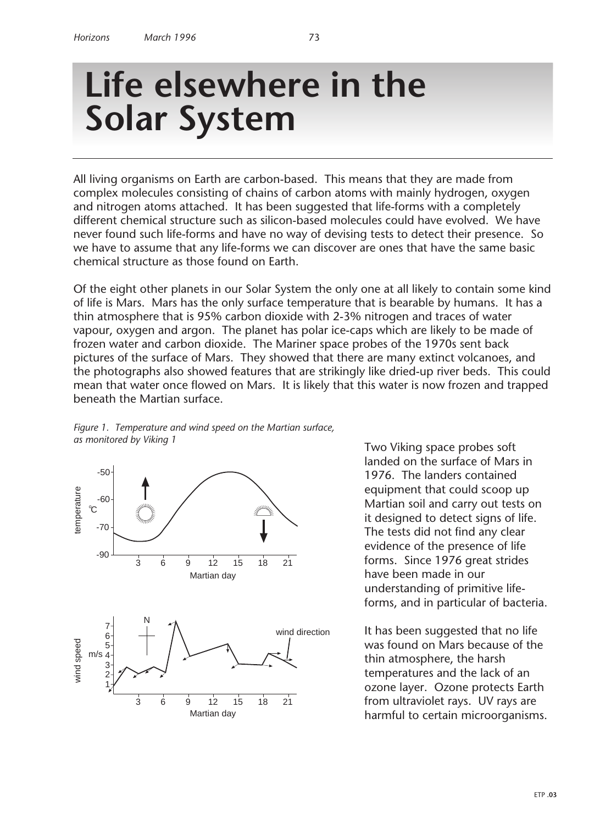All living organisms on Earth are carbon-based. This means that they are made from complex molecules consisting of chains of carbon atoms with mainly hydrogen, oxygen and nitrogen atoms attached. It has been suggested that life-forms with a completely different chemical structure such as silicon-based molecules could have evolved. We have never found such life-forms and have no way of devising tests to detect their presence. So we have to assume that any life-forms we can discover are ones that have the same basic chemical structure as those found on Earth.

Of the eight other planets in our Solar System the only one at all likely to contain some kind of life is Mars. Mars has the only surface temperature that is bearable by humans. It has a thin atmosphere that is 95% carbon dioxide with 2-3% nitrogen and traces of water vapour, oxygen and argon. The planet has polar ice-caps which are likely to be made of frozen water and carbon dioxide. The Mariner space probes of the 1970s sent back pictures of the surface of Mars. They showed that there are many extinct volcanoes, and the photographs also showed features that are strikingly like dried-up river beds. This could mean that water once flowed on Mars. It is likely that this water is now frozen and trapped beneath the Martian surface.



*Figure 1. Temperature and wind speed on the Martian surface, as monitored by Viking 1*

Two Viking space probes soft landed on the surface of Mars in 1976. The landers contained equipment that could scoop up Martian soil and carry out tests on it designed to detect signs of life. The tests did not find any clear evidence of the presence of life forms. Since 1976 great strides have been made in our understanding of primitive lifeforms, and in particular of bacteria.

It has been suggested that no life was found on Mars because of the thin atmosphere, the harsh temperatures and the lack of an ozone layer. Ozone protects Earth from ultraviolet rays. UV rays are harmful to certain microorganisms.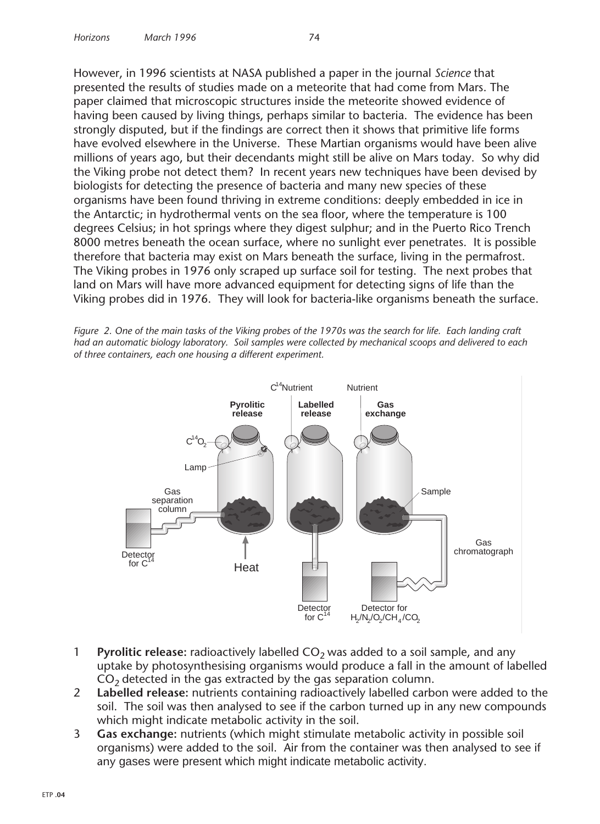However, in 1996 scientists at NASA published a paper in the journal *Science* that presented the results of studies made on a meteorite that had come from Mars. The paper claimed that microscopic structures inside the meteorite showed evidence of having been caused by living things, perhaps similar to bacteria. The evidence has been strongly disputed, but if the findings are correct then it shows that primitive life forms have evolved elsewhere in the Universe. These Martian organisms would have been alive millions of years ago, but their decendants might still be alive on Mars today. So why did the Viking probe not detect them? In recent years new techniques have been devised by biologists for detecting the presence of bacteria and many new species of these organisms have been found thriving in extreme conditions: deeply embedded in ice in the Antarctic; in hydrothermal vents on the sea floor, where the temperature is 100 degrees Celsius; in hot springs where they digest sulphur; and in the Puerto Rico Trench 8000 metres beneath the ocean surface, where no sunlight ever penetrates. It is possible therefore that bacteria may exist on Mars beneath the surface, living in the permafrost. The Viking probes in 1976 only scraped up surface soil for testing. The next probes that land on Mars will have more advanced equipment for detecting signs of life than the Viking probes did in 1976. They will look for bacteria-like organisms beneath the surface.

*Figure 2. One of the main tasks of the Viking probes of the 1970s was the search for life. Each landing craft had an automatic biology laboratory. Soil samples were collected by mechanical scoops and delivered to each of three containers, each one housing a different experiment.*



- **1** Pyrolitic release: radioactively labelled  $CO<sub>2</sub>$  was added to a soil sample, and any uptake by photosynthesising organisms would produce a fall in the amount of labelled  $CO<sub>2</sub>$  detected in the gas extracted by the gas separation column.
- 2 **Labelled release:** nutrients containing radioactively labelled carbon were added to the soil. The soil was then analysed to see if the carbon turned up in any new compounds which might indicate metabolic activity in the soil.
- 3 **Gas exchange:** nutrients (which might stimulate metabolic activity in possible soil organisms) were added to the soil. Air from the container was then analysed to see if any gases were present which might indicate metabolic activity.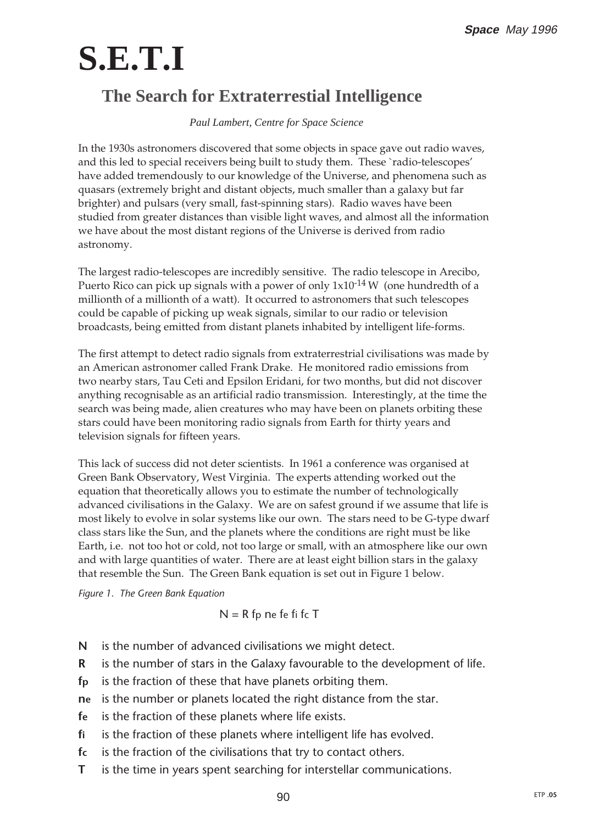# **S.E.T.I**

### **The Search for Extraterrestial Intelligence**

*Paul Lambert, Centre for Space Science*

In the 1930s astronomers discovered that some objects in space gave out radio waves, and this led to special receivers being built to study them. These `radio-telescopes' have added tremendously to our knowledge of the Universe, and phenomena such as quasars (extremely bright and distant objects, much smaller than a galaxy but far brighter) and pulsars (very small, fast-spinning stars). Radio waves have been studied from greater distances than visible light waves, and almost all the information we have about the most distant regions of the Universe is derived from radio astronomy.

The largest radio-telescopes are incredibly sensitive. The radio telescope in Arecibo, Puerto Rico can pick up signals with a power of only  $1x10^{-14}$  W (one hundredth of a millionth of a millionth of a watt). It occurred to astronomers that such telescopes could be capable of picking up weak signals, similar to our radio or television broadcasts, being emitted from distant planets inhabited by intelligent life-forms.

The first attempt to detect radio signals from extraterrestrial civilisations was made by an American astronomer called Frank Drake. He monitored radio emissions from two nearby stars, Tau Ceti and Epsilon Eridani, for two months, but did not discover anything recognisable as an artificial radio transmission. Interestingly, at the time the search was being made, alien creatures who may have been on planets orbiting these stars could have been monitoring radio signals from Earth for thirty years and television signals for fifteen years.

This lack of success did not deter scientists. In 1961 a conference was organised at Green Bank Observatory, West Virginia. The experts attending worked out the equation that theoretically allows you to estimate the number of technologically advanced civilisations in the Galaxy. We are on safest ground if we assume that life is most likely to evolve in solar systems like our own. The stars need to be G-type dwarf class stars like the Sun, and the planets where the conditions are right must be like Earth, i.e. not too hot or cold, not too large or small, with an atmosphere like our own and with large quantities of water. There are at least eight billion stars in the galaxy that resemble the Sun. The Green Bank equation is set out in Figure 1 below.

*Figure 1. The Green Bank Equation*

$$
N = R
$$
 fp ne fe fi fc T

- **N** is the number of advanced civilisations we might detect.
- **R** is the number of stars in the Galaxy favourable to the development of life.
- **fp** is the fraction of these that have planets orbiting them.
- **ne** is the number or planets located the right distance from the star.
- **fe** is the fraction of these planets where life exists.
- **fi** is the fraction of these planets where intelligent life has evolved.
- **fc** is the fraction of the civilisations that try to contact others.
- **T** is the time in years spent searching for interstellar communications.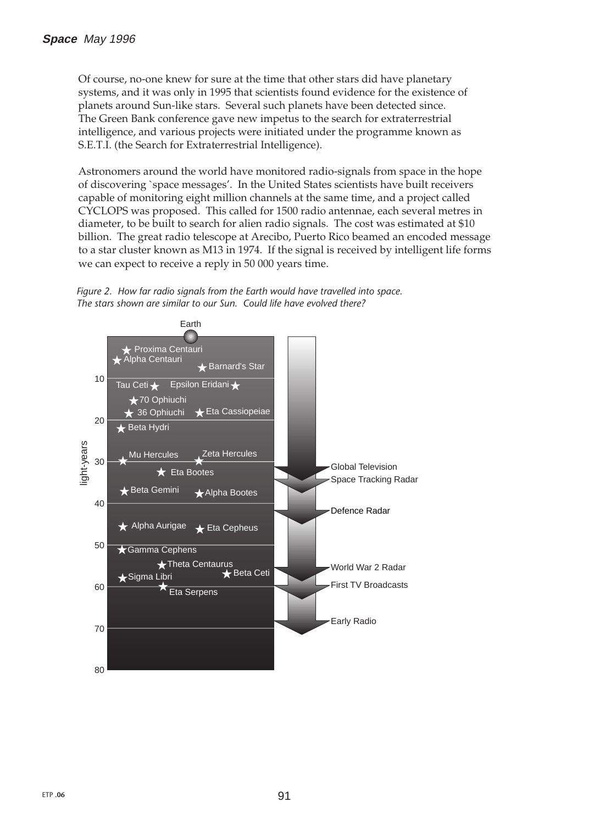Of course, no-one knew for sure at the time that other stars did have planetary systems, and it was only in 1995 that scientists found evidence for the existence of planets around Sun-like stars. Several such planets have been detected since. The Green Bank conference gave new impetus to the search for extraterrestrial intelligence, and various projects were initiated under the programme known as S.E.T.I. (the Search for Extraterrestrial Intelligence).

Astronomers around the world have monitored radio-signals from space in the hope of discovering `space messages'. In the United States scientists have built receivers capable of monitoring eight million channels at the same time, and a project called CYCLOPS was proposed. This called for 1500 radio antennae, each several metres in diameter, to be built to search for alien radio signals. The cost was estimated at \$10 billion. The great radio telescope at Arecibo, Puerto Rico beamed an encoded message to a star cluster known as M13 in 1974. If the signal is received by intelligent life forms we can expect to receive a reply in 50 000 years time.



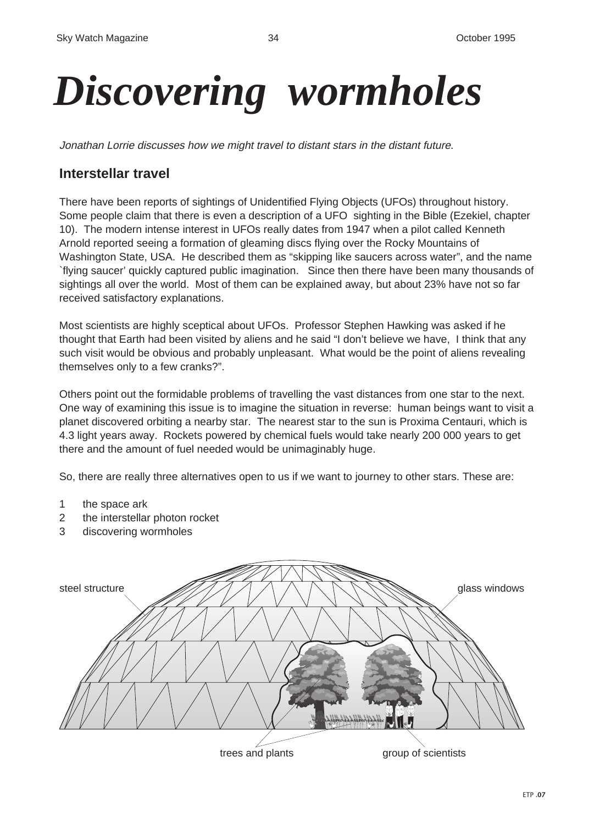# *Discovering wormholes*

Jonathan Lorrie discusses how we might travel to distant stars in the distant future.

#### **Interstellar travel**

There have been reports of sightings of Unidentified Flying Objects (UFOs) throughout history. Some people claim that there is even a description of a UFO sighting in the Bible (Ezekiel, chapter 10). The modern intense interest in UFOs really dates from 1947 when a pilot called Kenneth Arnold reported seeing a formation of gleaming discs flying over the Rocky Mountains of Washington State, USA. He described them as "skipping like saucers across water", and the name `flying saucer' quickly captured public imagination. Since then there have been many thousands of sightings all over the world. Most of them can be explained away, but about 23% have not so far received satisfactory explanations.

Most scientists are highly sceptical about UFOs. Professor Stephen Hawking was asked if he thought that Earth had been visited by aliens and he said "I don't believe we have, I think that any such visit would be obvious and probably unpleasant. What would be the point of aliens revealing themselves only to a few cranks?".

Others point out the formidable problems of travelling the vast distances from one star to the next. One way of examining this issue is to imagine the situation in reverse: human beings want to visit a planet discovered orbiting a nearby star. The nearest star to the sun is Proxima Centauri, which is 4.3 light years away. Rockets powered by chemical fuels would take nearly 200 000 years to get there and the amount of fuel needed would be unimaginably huge.

So, there are really three alternatives open to us if we want to journey to other stars. These are:

- 1 the space ark
- 2 the interstellar photon rocket
- 3 discovering wormholes

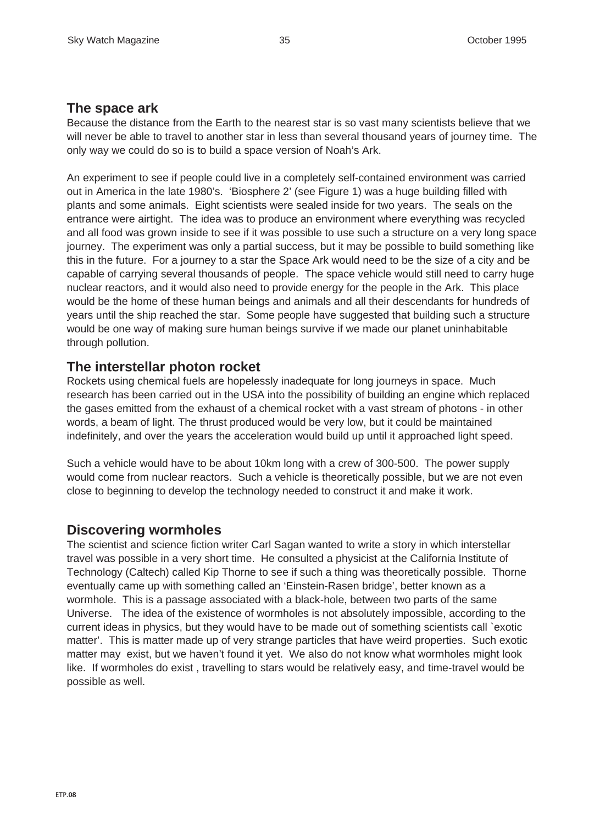#### **The space ark**

Because the distance from the Earth to the nearest star is so vast many scientists believe that we will never be able to travel to another star in less than several thousand years of journey time. The only way we could do so is to build a space version of Noah's Ark.

An experiment to see if people could live in a completely self-contained environment was carried out in America in the late 1980's. 'Biosphere 2' (see Figure 1) was a huge building filled with plants and some animals. Eight scientists were sealed inside for two years. The seals on the entrance were airtight. The idea was to produce an environment where everything was recycled and all food was grown inside to see if it was possible to use such a structure on a very long space journey. The experiment was only a partial success, but it may be possible to build something like this in the future. For a journey to a star the Space Ark would need to be the size of a city and be capable of carrying several thousands of people. The space vehicle would still need to carry huge nuclear reactors, and it would also need to provide energy for the people in the Ark. This place would be the home of these human beings and animals and all their descendants for hundreds of years until the ship reached the star. Some people have suggested that building such a structure would be one way of making sure human beings survive if we made our planet uninhabitable through pollution.

#### **The interstellar photon rocket**

Rockets using chemical fuels are hopelessly inadequate for long journeys in space. Much research has been carried out in the USA into the possibility of building an engine which replaced the gases emitted from the exhaust of a chemical rocket with a vast stream of photons - in other words, a beam of light. The thrust produced would be very low, but it could be maintained indefinitely, and over the years the acceleration would build up until it approached light speed.

Such a vehicle would have to be about 10km long with a crew of 300-500. The power supply would come from nuclear reactors. Such a vehicle is theoretically possible, but we are not even close to beginning to develop the technology needed to construct it and make it work.

#### **Discovering wormholes**

The scientist and science fiction writer Carl Sagan wanted to write a story in which interstellar travel was possible in a very short time. He consulted a physicist at the California Institute of Technology (Caltech) called Kip Thorne to see if such a thing was theoretically possible. Thorne eventually came up with something called an 'Einstein-Rasen bridge', better known as a wormhole. This is a passage associated with a black-hole, between two parts of the same Universe. The idea of the existence of wormholes is not absolutely impossible, according to the current ideas in physics, but they would have to be made out of something scientists call `exotic matter'. This is matter made up of very strange particles that have weird properties. Such exotic matter may exist, but we haven't found it yet. We also do not know what wormholes might look like. If wormholes do exist , travelling to stars would be relatively easy, and time-travel would be possible as well.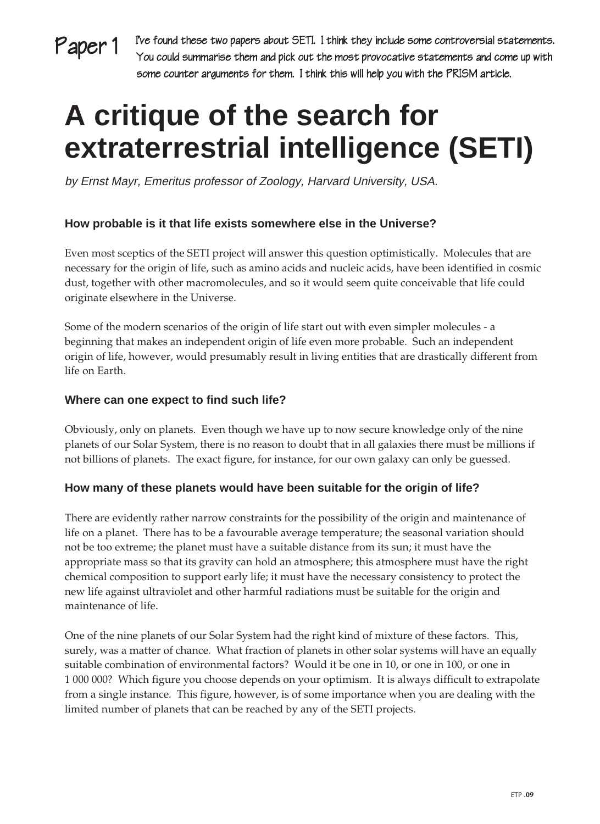#### I've found these two papers about SETI. I think they include some controversial statements. You could summarise them and pick out the most provocative statements and come up with some counter arguments for them. I think this will help you with the PRISM article. Paper 1

# **A critique of the search for extraterrestrial intelligence (SETI)**

by Ernst Mayr, Emeritus professor of Zoology, Harvard University, USA.

#### **How probable is it that life exists somewhere else in the Universe?**

Even most sceptics of the SETI project will answer this question optimistically. Molecules that are necessary for the origin of life, such as amino acids and nucleic acids, have been identified in cosmic dust, together with other macromolecules, and so it would seem quite conceivable that life could originate elsewhere in the Universe.

Some of the modern scenarios of the origin of life start out with even simpler molecules - a beginning that makes an independent origin of life even more probable. Such an independent origin of life, however, would presumably result in living entities that are drastically different from life on Earth.

#### **Where can one expect to find such life?**

Obviously, only on planets. Even though we have up to now secure knowledge only of the nine planets of our Solar System, there is no reason to doubt that in all galaxies there must be millions if not billions of planets. The exact figure, for instance, for our own galaxy can only be guessed.

#### **How many of these planets would have been suitable for the origin of life?**

There are evidently rather narrow constraints for the possibility of the origin and maintenance of life on a planet. There has to be a favourable average temperature; the seasonal variation should not be too extreme; the planet must have a suitable distance from its sun; it must have the appropriate mass so that its gravity can hold an atmosphere; this atmosphere must have the right chemical composition to support early life; it must have the necessary consistency to protect the new life against ultraviolet and other harmful radiations must be suitable for the origin and maintenance of life.

One of the nine planets of our Solar System had the right kind of mixture of these factors. This, surely, was a matter of chance. What fraction of planets in other solar systems will have an equally suitable combination of environmental factors? Would it be one in 10, or one in 100, or one in 1 000 000? Which figure you choose depends on your optimism. It is always difficult to extrapolate from a single instance. This figure, however, is of some importance when you are dealing with the limited number of planets that can be reached by any of the SETI projects.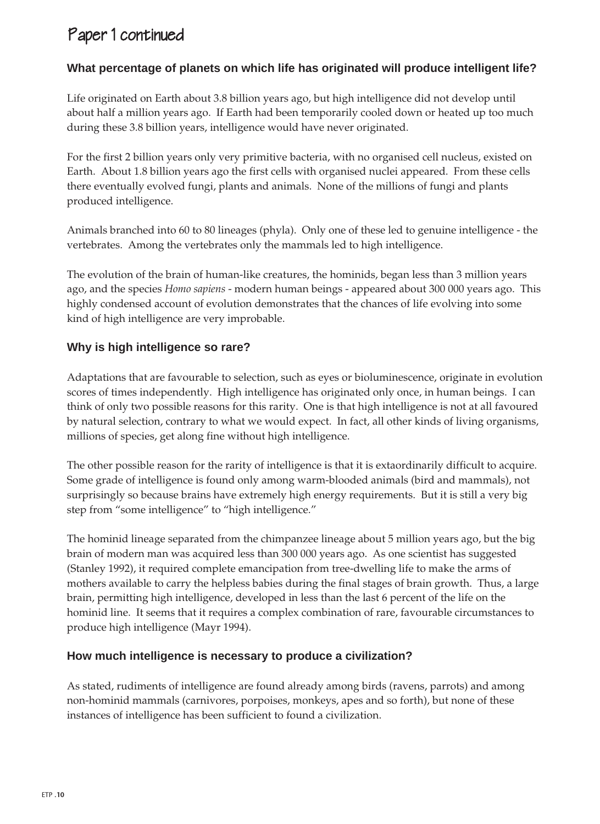### Paper 1 continued

#### **What percentage of planets on which life has originated will produce intelligent life?**

Life originated on Earth about 3.8 billion years ago, but high intelligence did not develop until about half a million years ago. If Earth had been temporarily cooled down or heated up too much during these 3.8 billion years, intelligence would have never originated.

For the first 2 billion years only very primitive bacteria, with no organised cell nucleus, existed on Earth. About 1.8 billion years ago the first cells with organised nuclei appeared. From these cells there eventually evolved fungi, plants and animals. None of the millions of fungi and plants produced intelligence.

Animals branched into 60 to 80 lineages (phyla). Only one of these led to genuine intelligence - the vertebrates. Among the vertebrates only the mammals led to high intelligence.

The evolution of the brain of human-like creatures, the hominids, began less than 3 million years ago, and the species *Homo sapiens* - modern human beings - appeared about 300 000 years ago. This highly condensed account of evolution demonstrates that the chances of life evolving into some kind of high intelligence are very improbable.

#### **Why is high intelligence so rare?**

Adaptations that are favourable to selection, such as eyes or bioluminescence, originate in evolution scores of times independently. High intelligence has originated only once, in human beings. I can think of only two possible reasons for this rarity. One is that high intelligence is not at all favoured by natural selection, contrary to what we would expect. In fact, all other kinds of living organisms, millions of species, get along fine without high intelligence.

The other possible reason for the rarity of intelligence is that it is extaordinarily difficult to acquire. Some grade of intelligence is found only among warm-blooded animals (bird and mammals), not surprisingly so because brains have extremely high energy requirements. But it is still a very big step from "some intelligence" to "high intelligence."

The hominid lineage separated from the chimpanzee lineage about 5 million years ago, but the big brain of modern man was acquired less than 300 000 years ago. As one scientist has suggested (Stanley 1992), it required complete emancipation from tree-dwelling life to make the arms of mothers available to carry the helpless babies during the final stages of brain growth. Thus, a large brain, permitting high intelligence, developed in less than the last 6 percent of the life on the hominid line. It seems that it requires a complex combination of rare, favourable circumstances to produce high intelligence (Mayr 1994).

#### **How much intelligence is necessary to produce a civilization?**

As stated, rudiments of intelligence are found already among birds (ravens, parrots) and among non-hominid mammals (carnivores, porpoises, monkeys, apes and so forth), but none of these instances of intelligence has been sufficient to found a civilization.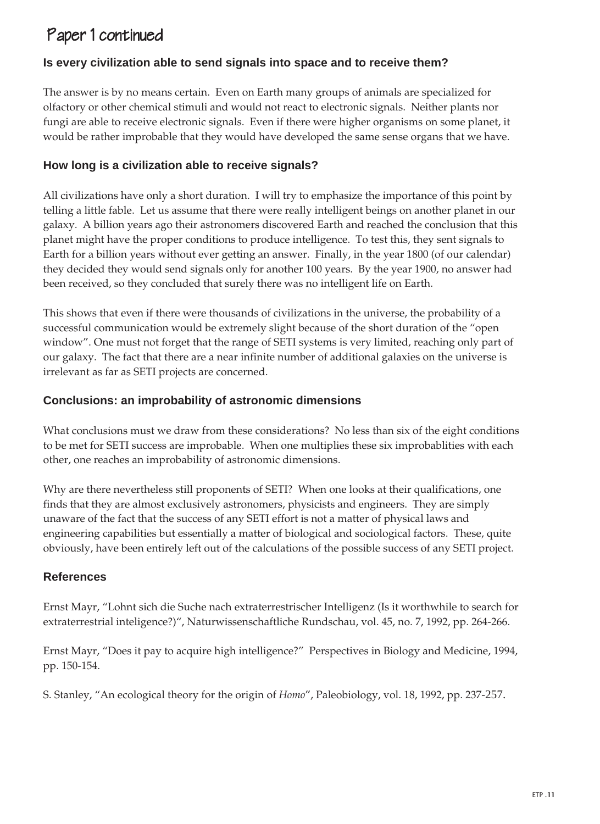### Paper 1 continued

#### **Is every civilization able to send signals into space and to receive them?**

The answer is by no means certain. Even on Earth many groups of animals are specialized for olfactory or other chemical stimuli and would not react to electronic signals. Neither plants nor fungi are able to receive electronic signals. Even if there were higher organisms on some planet, it would be rather improbable that they would have developed the same sense organs that we have.

#### **How long is a civilization able to receive signals?**

All civilizations have only a short duration. I will try to emphasize the importance of this point by telling a little fable. Let us assume that there were really intelligent beings on another planet in our galaxy. A billion years ago their astronomers discovered Earth and reached the conclusion that this planet might have the proper conditions to produce intelligence. To test this, they sent signals to Earth for a billion years without ever getting an answer. Finally, in the year 1800 (of our calendar) they decided they would send signals only for another 100 years. By the year 1900, no answer had been received, so they concluded that surely there was no intelligent life on Earth.

This shows that even if there were thousands of civilizations in the universe, the probability of a successful communication would be extremely slight because of the short duration of the "open window". One must not forget that the range of SETI systems is very limited, reaching only part of our galaxy. The fact that there are a near infinite number of additional galaxies on the universe is irrelevant as far as SETI projects are concerned.

#### **Conclusions: an improbability of astronomic dimensions**

What conclusions must we draw from these considerations? No less than six of the eight conditions to be met for SETI success are improbable. When one multiplies these six improbablities with each other, one reaches an improbability of astronomic dimensions.

Why are there nevertheless still proponents of SETI? When one looks at their qualifications, one finds that they are almost exclusively astronomers, physicists and engineers. They are simply unaware of the fact that the success of any SETI effort is not a matter of physical laws and engineering capabilities but essentially a matter of biological and sociological factors. These, quite obviously, have been entirely left out of the calculations of the possible success of any SETI project.

#### **References**

Ernst Mayr, "Lohnt sich die Suche nach extraterrestrischer Intelligenz (Is it worthwhile to search for extraterrestrial inteligence?)", Naturwissenschaftliche Rundschau, vol. 45, no. 7, 1992, pp. 264-266.

Ernst Mayr, "Does it pay to acquire high intelligence?" Perspectives in Biology and Medicine, 1994, pp. 150-154.

S. Stanley, "An ecological theory for the origin of *Homo*", Paleobiology, vol. 18, 1992, pp. 237-257.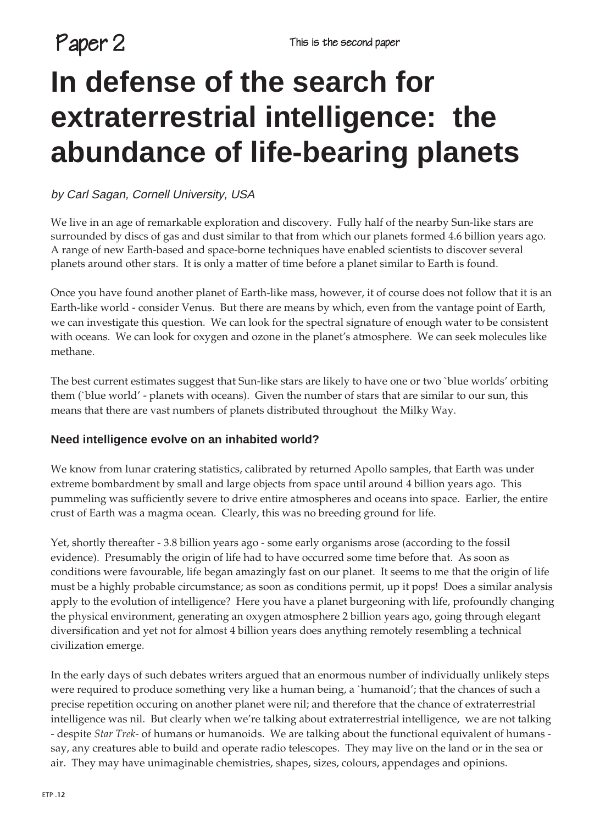## **Paper 2** This is the second paper

# **In defense of the search for extraterrestrial intelligence: the abundance of life-bearing planets**

#### by Carl Sagan, Cornell University, USA

We live in an age of remarkable exploration and discovery. Fully half of the nearby Sun-like stars are surrounded by discs of gas and dust similar to that from which our planets formed 4.6 billion years ago. A range of new Earth-based and space-borne techniques have enabled scientists to discover several planets around other stars. It is only a matter of time before a planet similar to Earth is found.

Once you have found another planet of Earth-like mass, however, it of course does not follow that it is an Earth-like world - consider Venus. But there are means by which, even from the vantage point of Earth, we can investigate this question. We can look for the spectral signature of enough water to be consistent with oceans. We can look for oxygen and ozone in the planet's atmosphere. We can seek molecules like methane.

The best current estimates suggest that Sun-like stars are likely to have one or two `blue worlds' orbiting them (`blue world' - planets with oceans). Given the number of stars that are similar to our sun, this means that there are vast numbers of planets distributed throughout the Milky Way.

#### **Need intelligence evolve on an inhabited world?**

We know from lunar cratering statistics, calibrated by returned Apollo samples, that Earth was under extreme bombardment by small and large objects from space until around 4 billion years ago. This pummeling was sufficiently severe to drive entire atmospheres and oceans into space. Earlier, the entire crust of Earth was a magma ocean. Clearly, this was no breeding ground for life.

Yet, shortly thereafter - 3.8 billion years ago - some early organisms arose (according to the fossil evidence). Presumably the origin of life had to have occurred some time before that. As soon as conditions were favourable, life began amazingly fast on our planet. It seems to me that the origin of life must be a highly probable circumstance; as soon as conditions permit, up it pops! Does a similar analysis apply to the evolution of intelligence? Here you have a planet burgeoning with life, profoundly changing the physical environment, generating an oxygen atmosphere 2 billion years ago, going through elegant diversification and yet not for almost 4 billion years does anything remotely resembling a technical civilization emerge.

In the early days of such debates writers argued that an enormous number of individually unlikely steps were required to produce something very like a human being, a `humanoid'; that the chances of such a precise repetition occuring on another planet were nil; and therefore that the chance of extraterrestrial intelligence was nil. But clearly when we're talking about extraterrestrial intelligence, we are not talking - despite *Star Trek*- of humans or humanoids. We are talking about the functional equivalent of humans say, any creatures able to build and operate radio telescopes. They may live on the land or in the sea or air. They may have unimaginable chemistries, shapes, sizes, colours, appendages and opinions.